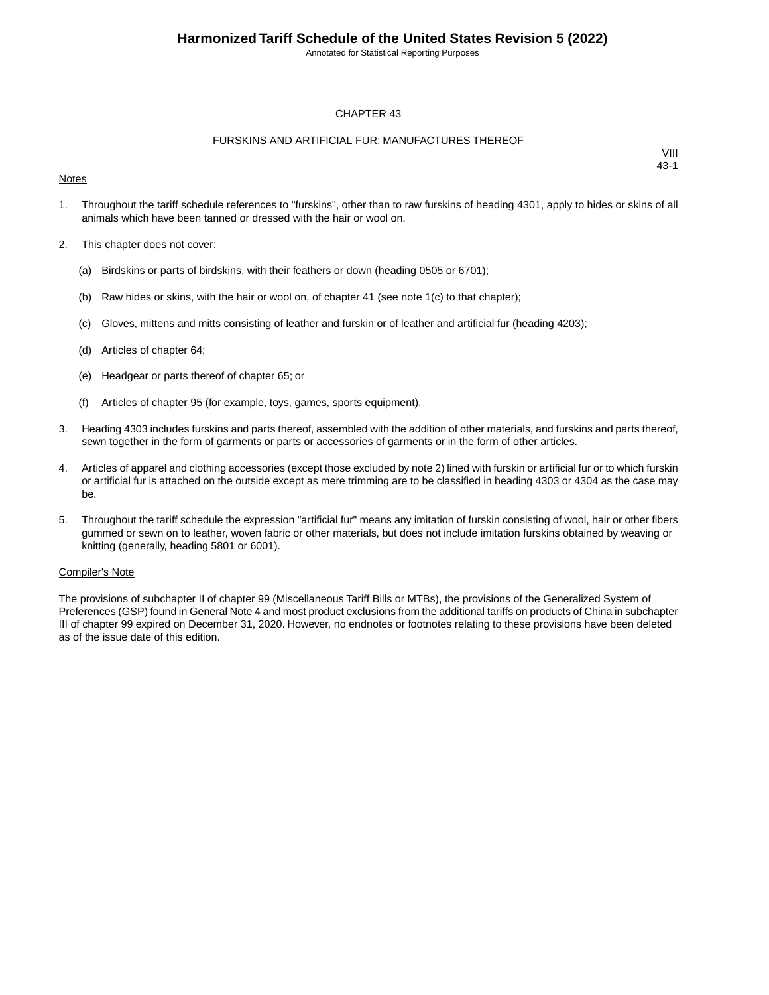Annotated for Statistical Reporting Purposes

### CHAPTER 43

### FURSKINS AND ARTIFICIAL FUR; MANUFACTURES THEREOF

### **Notes**

VIII 43-1

- 1. Throughout the tariff schedule references to "furskins", other than to raw furskins of heading 4301, apply to hides or skins of all animals which have been tanned or dressed with the hair or wool on.
- 2. This chapter does not cover:
	- (a) Birdskins or parts of birdskins, with their feathers or down (heading 0505 or 6701);
	- (b) Raw hides or skins, with the hair or wool on, of chapter 41 (see note  $1(c)$  to that chapter);
	- (c) Gloves, mittens and mitts consisting of leather and furskin or of leather and artificial fur (heading 4203);
	- (d) Articles of chapter 64;
	- (e) Headgear or parts thereof of chapter 65; or
	- (f) Articles of chapter 95 (for example, toys, games, sports equipment).
- 3. Heading 4303 includes furskins and parts thereof, assembled with the addition of other materials, and furskins and parts thereof, sewn together in the form of garments or parts or accessories of garments or in the form of other articles.
- 4. Articles of apparel and clothing accessories (except those excluded by note 2) lined with furskin or artificial fur or to which furskin or artificial fur is attached on the outside except as mere trimming are to be classified in heading 4303 or 4304 as the case may be.
- 5. Throughout the tariff schedule the expression "artificial fur" means any imitation of furskin consisting of wool, hair or other fibers gummed or sewn on to leather, woven fabric or other materials, but does not include imitation furskins obtained by weaving or knitting (generally, heading 5801 or 6001).

#### Compiler's Note

The provisions of subchapter II of chapter 99 (Miscellaneous Tariff Bills or MTBs), the provisions of the Generalized System of Preferences (GSP) found in General Note 4 and most product exclusions from the additional tariffs on products of China in subchapter III of chapter 99 expired on December 31, 2020. However, no endnotes or footnotes relating to these provisions have been deleted as of the issue date of this edition.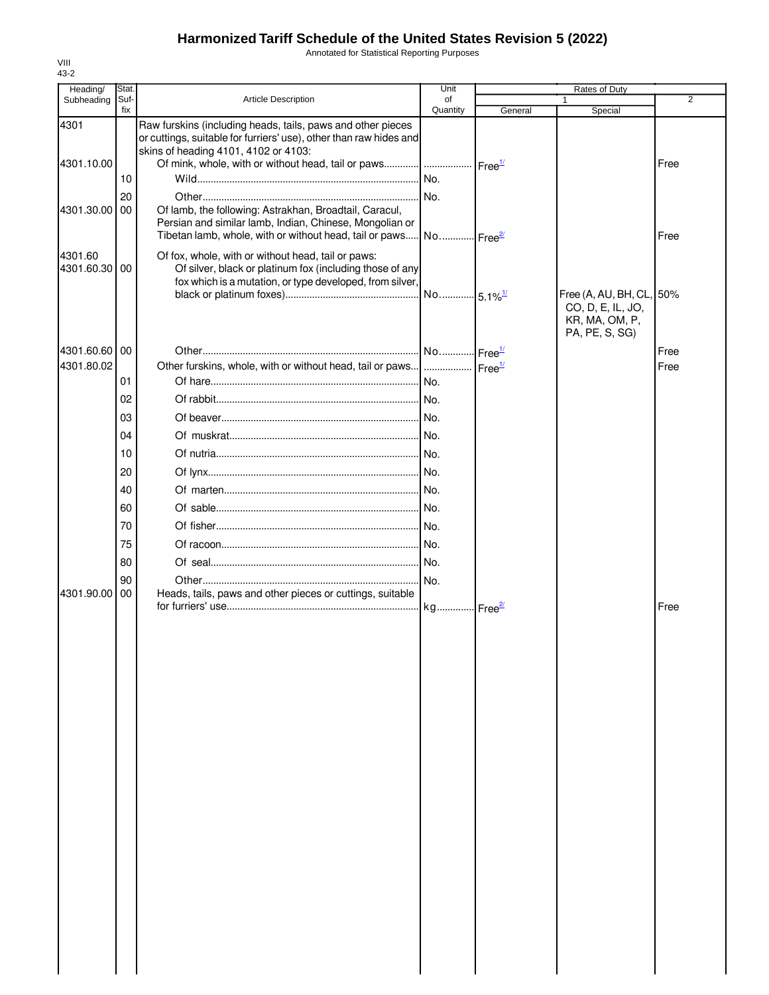Annotated for Statistical Reporting Purposes

| Heading/                 | Stat.       |                                                                                                                                                                              | Unit                  | Rates of Duty               |                                                                                   |                |
|--------------------------|-------------|------------------------------------------------------------------------------------------------------------------------------------------------------------------------------|-----------------------|-----------------------------|-----------------------------------------------------------------------------------|----------------|
| Subheading               | Suf-<br>fix | <b>Article Description</b>                                                                                                                                                   | of                    |                             |                                                                                   | $\overline{2}$ |
| 4301                     |             | Raw furskins (including heads, tails, paws and other pieces<br>or cuttings, suitable for furriers' use), other than raw hides and<br>skins of heading 4101, 4102 or 4103:    | Quantity              | General                     | Special                                                                           |                |
| 4301.10.00               |             |                                                                                                                                                                              |                       | $r = e^{\frac{1}{2}}$       |                                                                                   | Free           |
|                          | 10          |                                                                                                                                                                              | No.                   |                             |                                                                                   |                |
|                          | 20          |                                                                                                                                                                              | No.                   |                             |                                                                                   |                |
| 4301.30.00               | 00          | Of lamb, the following: Astrakhan, Broadtail, Caracul,<br>Persian and similar lamb, Indian, Chinese, Mongolian or<br>Tibetan lamb, whole, with or without head, tail or paws | No Free <sup>2/</sup> |                             |                                                                                   | Free           |
| 4301.60<br>4301.60.30 00 |             | Of fox, whole, with or without head, tail or paws:<br>Of silver, black or platinum fox (including those of any<br>fox which is a mutation, or type developed, from silver,   |                       |                             |                                                                                   |                |
|                          |             |                                                                                                                                                                              | No                    | $-5.1\%$ <sup>1/</sup>      | Free (A, AU, BH, CL, 50%<br>CO, D, E, IL, JO,<br>KR, MA, OM, P,<br>PA, PE, S, SG) |                |
| 4301.60.60 00            |             |                                                                                                                                                                              | No                    | $l$ Free $\frac{1}{l}$      |                                                                                   | Free           |
| 4301.80.02               |             | Other furskins, whole, with or without head, tail or paws                                                                                                                    |                       | Free <sup>1/</sup>          |                                                                                   | Free           |
|                          | 01          |                                                                                                                                                                              | No.                   |                             |                                                                                   |                |
|                          | 02          |                                                                                                                                                                              |                       |                             |                                                                                   |                |
|                          | 03          |                                                                                                                                                                              |                       |                             |                                                                                   |                |
|                          | 04          |                                                                                                                                                                              |                       |                             |                                                                                   |                |
|                          |             |                                                                                                                                                                              |                       |                             |                                                                                   |                |
|                          | 10          |                                                                                                                                                                              |                       |                             |                                                                                   |                |
|                          | 20          |                                                                                                                                                                              |                       |                             |                                                                                   |                |
|                          | 40          |                                                                                                                                                                              |                       |                             |                                                                                   |                |
|                          | 60          |                                                                                                                                                                              |                       |                             |                                                                                   |                |
|                          | 70          |                                                                                                                                                                              |                       |                             |                                                                                   |                |
|                          | 75          |                                                                                                                                                                              |                       |                             |                                                                                   |                |
|                          | 80          |                                                                                                                                                                              |                       |                             |                                                                                   |                |
|                          | 90          |                                                                                                                                                                              | I No.                 |                             |                                                                                   |                |
| 4301.90.00               | 00          | Heads, tails, paws and other pieces or cuttings, suitable                                                                                                                    | kg                    | $\cdot$ Free $\frac{27}{2}$ |                                                                                   | Free           |
|                          |             |                                                                                                                                                                              |                       |                             |                                                                                   |                |
|                          |             |                                                                                                                                                                              |                       |                             |                                                                                   |                |
|                          |             |                                                                                                                                                                              |                       |                             |                                                                                   |                |
|                          |             |                                                                                                                                                                              |                       |                             |                                                                                   |                |
|                          |             |                                                                                                                                                                              |                       |                             |                                                                                   |                |
|                          |             |                                                                                                                                                                              |                       |                             |                                                                                   |                |
|                          |             |                                                                                                                                                                              |                       |                             |                                                                                   |                |
|                          |             |                                                                                                                                                                              |                       |                             |                                                                                   |                |
|                          |             |                                                                                                                                                                              |                       |                             |                                                                                   |                |
|                          |             |                                                                                                                                                                              |                       |                             |                                                                                   |                |
|                          |             |                                                                                                                                                                              |                       |                             |                                                                                   |                |
|                          |             |                                                                                                                                                                              |                       |                             |                                                                                   |                |
|                          |             |                                                                                                                                                                              |                       |                             |                                                                                   |                |
|                          |             |                                                                                                                                                                              |                       |                             |                                                                                   |                |
|                          |             |                                                                                                                                                                              |                       |                             |                                                                                   |                |
|                          |             |                                                                                                                                                                              |                       |                             |                                                                                   |                |
|                          |             |                                                                                                                                                                              |                       |                             |                                                                                   |                |

VIII 43-2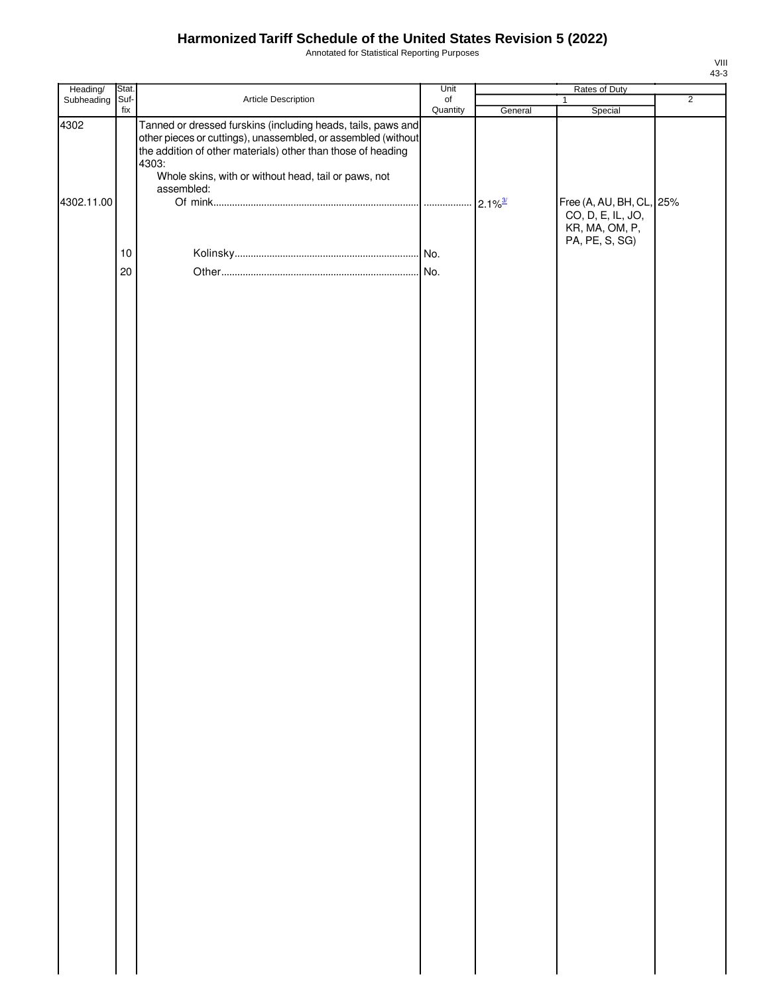Annotated for Statistical Reporting Purposes

| Heading/   | Stat.       |                                                                                                                                                                                                                                                                              | Unit      |                       |                                                                                   |                |
|------------|-------------|------------------------------------------------------------------------------------------------------------------------------------------------------------------------------------------------------------------------------------------------------------------------------|-----------|-----------------------|-----------------------------------------------------------------------------------|----------------|
| Subheading | Suf-<br>fix | Article Description                                                                                                                                                                                                                                                          | $\circ$ f |                       | $\mathbf{1}$                                                                      | $\overline{2}$ |
| 4302       |             | Tanned or dressed furskins (including heads, tails, paws and<br>other pieces or cuttings), unassembled, or assembled (without<br>the addition of other materials) other than those of heading<br>4303:<br>Whole skins, with or without head, tail or paws, not<br>assembled: | Quantity  | General               | Special                                                                           |                |
| 4302.11.00 |             |                                                                                                                                                                                                                                                                              |           | $2.1\%$ <sup>3/</sup> | Free (A, AU, BH, CL, 25%<br>CO, D, E, IL, JO,<br>KR, MA, OM, P,<br>PA, PE, S, SG) |                |
|            | $10$        |                                                                                                                                                                                                                                                                              |           |                       |                                                                                   |                |
|            | 20          |                                                                                                                                                                                                                                                                              |           |                       |                                                                                   |                |
|            |             |                                                                                                                                                                                                                                                                              |           |                       |                                                                                   |                |
|            |             |                                                                                                                                                                                                                                                                              |           |                       |                                                                                   |                |
|            |             |                                                                                                                                                                                                                                                                              |           |                       |                                                                                   |                |
|            |             |                                                                                                                                                                                                                                                                              |           |                       |                                                                                   |                |
|            |             |                                                                                                                                                                                                                                                                              |           |                       |                                                                                   |                |
|            |             |                                                                                                                                                                                                                                                                              |           |                       |                                                                                   |                |

VIII 43-3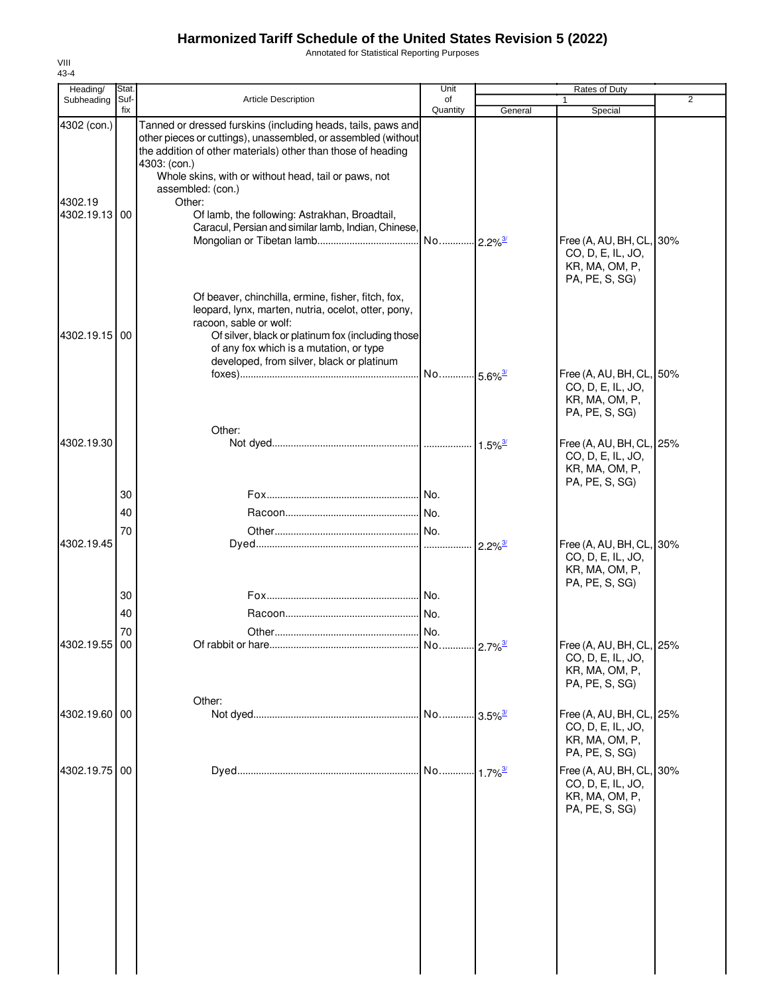Annotated for Statistical Reporting Purposes

| Heading/<br>Subheading                  | Stat.<br>Suf- | <b>Article Description</b>                                                                                                                                                                                                                                                                                                                                                                                   | Unit<br>of            |                            | Rates of Duty                                                                     | 2 |
|-----------------------------------------|---------------|--------------------------------------------------------------------------------------------------------------------------------------------------------------------------------------------------------------------------------------------------------------------------------------------------------------------------------------------------------------------------------------------------------------|-----------------------|----------------------------|-----------------------------------------------------------------------------------|---|
|                                         | fix           |                                                                                                                                                                                                                                                                                                                                                                                                              | Quantity              | General                    | Special                                                                           |   |
| 4302 (con.)<br>4302.19<br>4302.19.13 00 |               | Tanned or dressed furskins (including heads, tails, paws and<br>other pieces or cuttings), unassembled, or assembled (without<br>the addition of other materials) other than those of heading<br>4303: (con.)<br>Whole skins, with or without head, tail or paws, not<br>assembled: (con.)<br>Other:<br>Of lamb, the following: Astrakhan, Broadtail,<br>Caracul, Persian and similar lamb, Indian, Chinese, | No 2.2% <sup>3/</sup> |                            | Free (A, AU, BH, CL, 30%<br>CO, D, E, IL, JO,<br>KR, MA, OM, P,                   |   |
| 4302.19.15 00                           |               | Of beaver, chinchilla, ermine, fisher, fitch, fox,<br>leopard, lynx, marten, nutria, ocelot, otter, pony,<br>racoon, sable or wolf:<br>Of silver, black or platinum fox (including those<br>of any fox which is a mutation, or type<br>developed, from silver, black or platinum                                                                                                                             |                       |                            | PA, PE, S, SG)                                                                    |   |
|                                         |               |                                                                                                                                                                                                                                                                                                                                                                                                              | No 5.6% <sup>3/</sup> |                            | Free (A, AU, BH, CL, 50%<br>CO, D, E, IL, JO,<br>KR, MA, OM, P,<br>PA, PE, S, SG) |   |
| 4302.19.30                              |               | Other:                                                                                                                                                                                                                                                                                                                                                                                                       |                       | $1.5\%$ <sup>3/</sup>      | Free (A, AU, BH, CL, 25%<br>CO, D, E, IL, JO,<br>KR, MA, OM, P,<br>PA, PE, S, SG) |   |
|                                         | 30            |                                                                                                                                                                                                                                                                                                                                                                                                              |                       |                            |                                                                                   |   |
|                                         | 40            |                                                                                                                                                                                                                                                                                                                                                                                                              |                       |                            |                                                                                   |   |
| 4302.19.45                              | 70            |                                                                                                                                                                                                                                                                                                                                                                                                              |                       | $2.2\%$ <sup>3/</sup>      | Free (A, AU, BH, CL, 30%<br>CO, D, E, IL, JO,<br>KR, MA, OM, P,<br>PA, PE, S, SG) |   |
|                                         | 30            |                                                                                                                                                                                                                                                                                                                                                                                                              |                       |                            |                                                                                   |   |
|                                         | 40            |                                                                                                                                                                                                                                                                                                                                                                                                              | I No.                 |                            |                                                                                   |   |
|                                         | 70            |                                                                                                                                                                                                                                                                                                                                                                                                              | No.                   |                            |                                                                                   |   |
| 4302.19.55 00                           |               |                                                                                                                                                                                                                                                                                                                                                                                                              | No 2.7% <sup>3/</sup> |                            | Free (A, AU, BH, CL, 25%<br>CO, D, E, IL, JO,<br>KR, MA, OM, P,<br>PA, PE, S, SG) |   |
| 4302.19.60 00                           |               | Other:                                                                                                                                                                                                                                                                                                                                                                                                       | No                    | $\cdot$ 3.5% $\frac{3}{2}$ | Free (A, AU, BH, CL, 25%<br>CO, D, E, IL, JO,<br>KR, MA, OM, P,<br>PA, PE, S, SG) |   |
| 4302.19.75                              | 00            |                                                                                                                                                                                                                                                                                                                                                                                                              | No                    | $\cdot$ 1.7% $\frac{3}{2}$ | Free (A, AU, BH, CL, 30%<br>CO, D, E, IL, JO,<br>KR, MA, OM, P,<br>PA, PE, S, SG) |   |
|                                         |               |                                                                                                                                                                                                                                                                                                                                                                                                              |                       |                            |                                                                                   |   |

VIII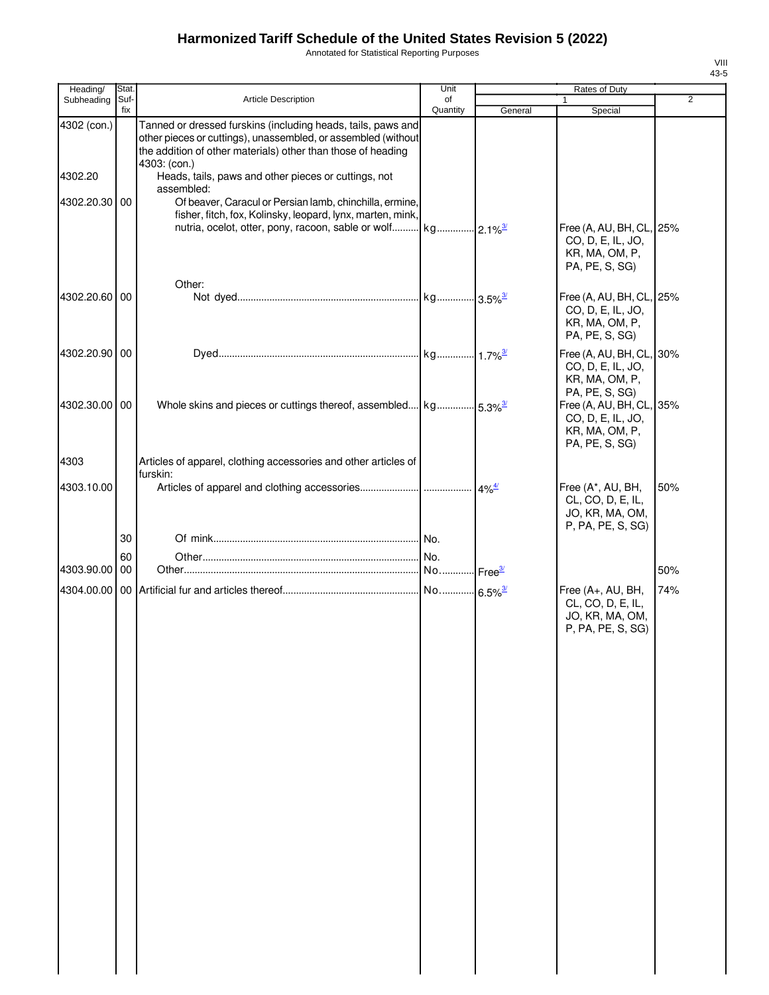Annotated for Statistical Reporting Purposes

| ×<br>٠<br>۰, |
|--------------|

| Heading/               | Stat.       |                                                                                                                                                                                                                                                                       | Unit                         | <b>Rates of Duty</b> |                                                                                                                       |                |
|------------------------|-------------|-----------------------------------------------------------------------------------------------------------------------------------------------------------------------------------------------------------------------------------------------------------------------|------------------------------|----------------------|-----------------------------------------------------------------------------------------------------------------------|----------------|
| Subheading             | Suf-<br>fix | Article Description                                                                                                                                                                                                                                                   | of<br>Quantity               | General              | $\mathbf{1}$<br>Special                                                                                               | $\overline{2}$ |
| 4302 (con.)<br>4302.20 |             | Tanned or dressed furskins (including heads, tails, paws and<br>other pieces or cuttings), unassembled, or assembled (without<br>the addition of other materials) other than those of heading<br>4303: (con.)<br>Heads, tails, paws and other pieces or cuttings, not |                              |                      |                                                                                                                       |                |
| 4302.20.30 00          |             | assembled:<br>Of beaver, Caracul or Persian lamb, chinchilla, ermine,<br>fisher, fitch, fox, Kolinsky, leopard, lynx, marten, mink,                                                                                                                                   |                              |                      | Free (A, AU, BH, CL, 25%<br>CO, D, E, IL, JO,<br>KR, MA, OM, P,                                                       |                |
| 4302.20.60 00          |             | Other:                                                                                                                                                                                                                                                                |                              |                      | PA, PE, S, SG)<br>Free (A, AU, BH, CL, 25%<br>CO, D, E, IL, JO,                                                       |                |
| 4302.20.90 00          |             |                                                                                                                                                                                                                                                                       |                              |                      | KR, MA, OM, P,<br>PA, PE, S, SG)<br>Free (A, AU, BH, CL, 30%<br>CO, D, E, IL, JO,                                     |                |
| 4302.30.00 00          |             | Whole skins and pieces or cuttings thereof, assembled kg 5.3% <sup>3/</sup>                                                                                                                                                                                           |                              |                      | KR, MA, OM, P,<br>PA, PE, S, SG)<br>Free (A, AU, BH, CL, 35%<br>CO, D, E, IL, JO,<br>KR, MA, OM, P,<br>PA, PE, S, SG) |                |
| 4303<br>4303.10.00     |             | Articles of apparel, clothing accessories and other articles of<br>furskin:                                                                                                                                                                                           |                              | $4\%$ <sup>4/</sup>  | Free (A*, AU, BH,                                                                                                     | 50%            |
|                        | 30<br>60    |                                                                                                                                                                                                                                                                       |                              |                      | CL, CO, D, E, IL,<br>JO, KR, MA, OM,<br>P, PA, PE, S, SG)                                                             |                |
| 4303.90.00 00          |             |                                                                                                                                                                                                                                                                       | No.<br>No Free <sup>3/</sup> |                      |                                                                                                                       | 50%            |
|                        |             |                                                                                                                                                                                                                                                                       |                              |                      | Free (A+, AU, BH,<br>CL, CO, D, E, IL,<br>JO, KR, MA, OM,<br>P, PA, PE, S, SG)                                        | 74%            |
|                        |             |                                                                                                                                                                                                                                                                       |                              |                      |                                                                                                                       |                |
|                        |             |                                                                                                                                                                                                                                                                       |                              |                      |                                                                                                                       |                |
|                        |             |                                                                                                                                                                                                                                                                       |                              |                      |                                                                                                                       |                |